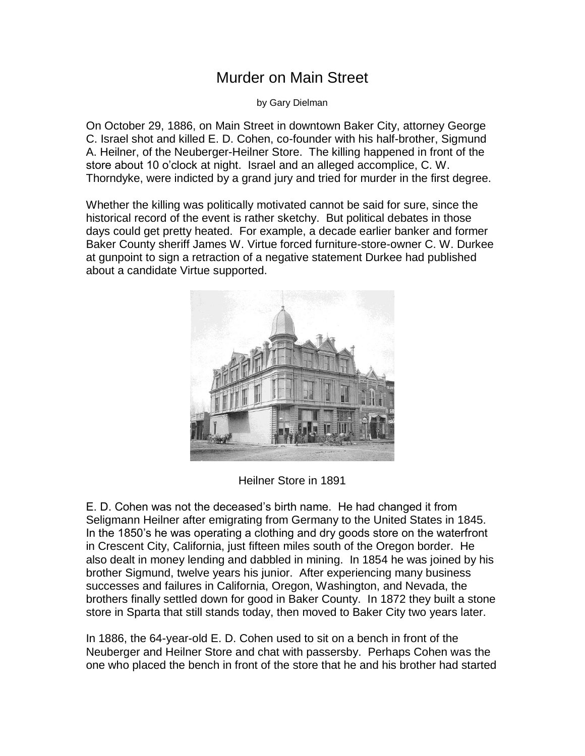## Murder on Main Street

by Gary Dielman

On October 29, 1886, on Main Street in downtown Baker City, attorney George C. Israel shot and killed E. D. Cohen, co-founder with his half-brother, Sigmund A. Heilner, of the Neuberger-Heilner Store. The killing happened in front of the store about 10 o'clock at night. Israel and an alleged accomplice, C. W. Thorndyke, were indicted by a grand jury and tried for murder in the first degree.

Whether the killing was politically motivated cannot be said for sure, since the historical record of the event is rather sketchy. But political debates in those days could get pretty heated. For example, a decade earlier banker and former Baker County sheriff James W. Virtue forced furniture-store-owner C. W. Durkee at gunpoint to sign a retraction of a negative statement Durkee had published about a candidate Virtue supported.



Heilner Store in 1891

E. D. Cohen was not the deceased's birth name. He had changed it from Seligmann Heilner after emigrating from Germany to the United States in 1845. In the 1850's he was operating a clothing and dry goods store on the waterfront in Crescent City, California, just fifteen miles south of the Oregon border. He also dealt in money lending and dabbled in mining. In 1854 he was joined by his brother Sigmund, twelve years his junior. After experiencing many business successes and failures in California, Oregon, Washington, and Nevada, the brothers finally settled down for good in Baker County. In 1872 they built a stone store in Sparta that still stands today, then moved to Baker City two years later.

In 1886, the 64-year-old E. D. Cohen used to sit on a bench in front of the Neuberger and Heilner Store and chat with passersby. Perhaps Cohen was the one who placed the bench in front of the store that he and his brother had started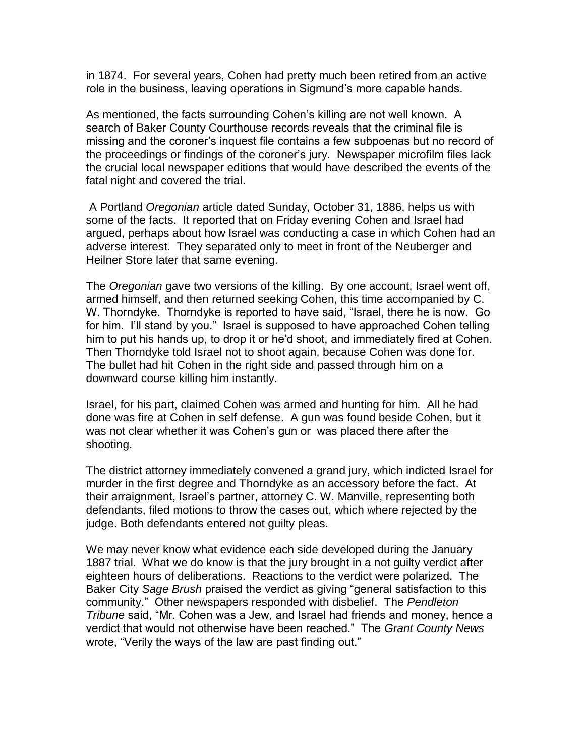in 1874. For several years, Cohen had pretty much been retired from an active role in the business, leaving operations in Sigmund's more capable hands.

As mentioned, the facts surrounding Cohen's killing are not well known. A search of Baker County Courthouse records reveals that the criminal file is missing and the coroner's inquest file contains a few subpoenas but no record of the proceedings or findings of the coroner's jury. Newspaper microfilm files lack the crucial local newspaper editions that would have described the events of the fatal night and covered the trial.

A Portland *Oregonian* article dated Sunday, October 31, 1886, helps us with some of the facts. It reported that on Friday evening Cohen and Israel had argued, perhaps about how Israel was conducting a case in which Cohen had an adverse interest. They separated only to meet in front of the Neuberger and Heilner Store later that same evening.

The *Oregonian* gave two versions of the killing. By one account, Israel went off, armed himself, and then returned seeking Cohen, this time accompanied by C. W. Thorndyke. Thorndyke is reported to have said, "Israel, there he is now. Go for him. I'll stand by you." Israel is supposed to have approached Cohen telling him to put his hands up, to drop it or he'd shoot, and immediately fired at Cohen. Then Thorndyke told Israel not to shoot again, because Cohen was done for. The bullet had hit Cohen in the right side and passed through him on a downward course killing him instantly.

Israel, for his part, claimed Cohen was armed and hunting for him. All he had done was fire at Cohen in self defense. A gun was found beside Cohen, but it was not clear whether it was Cohen's gun or was placed there after the shooting.

The district attorney immediately convened a grand jury, which indicted Israel for murder in the first degree and Thorndyke as an accessory before the fact. At their arraignment, Israel's partner, attorney C. W. Manville, representing both defendants, filed motions to throw the cases out, which where rejected by the judge. Both defendants entered not guilty pleas.

We may never know what evidence each side developed during the January 1887 trial. What we do know is that the jury brought in a not guilty verdict after eighteen hours of deliberations. Reactions to the verdict were polarized. The Baker City *Sage Brush* praised the verdict as giving "general satisfaction to this community." Other newspapers responded with disbelief. The *Pendleton Tribune* said, "Mr. Cohen was a Jew, and Israel had friends and money, hence a verdict that would not otherwise have been reached." The *Grant County News*  wrote, "Verily the ways of the law are past finding out."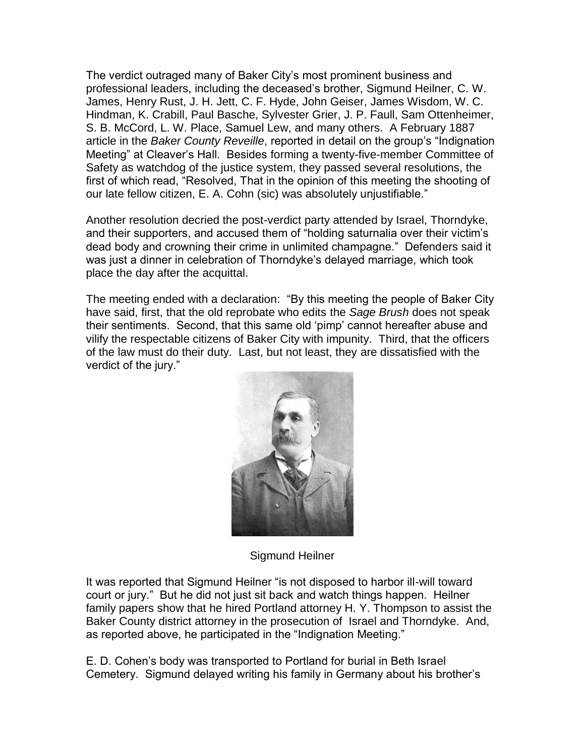The verdict outraged many of Baker City's most prominent business and professional leaders, including the deceased's brother, Sigmund Heilner, C. W. James, Henry Rust, J. H. Jett, C. F. Hyde, John Geiser, James Wisdom, W. C. Hindman, K. Crabill, Paul Basche, Sylvester Grier, J. P. Faull, Sam Ottenheimer, S. B. McCord, L. W. Place, Samuel Lew, and many others. A February 1887 article in the *Baker County Reveille*, reported in detail on the group's "Indignation Meeting" at Cleaver's Hall. Besides forming a twenty-five-member Committee of Safety as watchdog of the justice system, they passed several resolutions, the first of which read, "Resolved, That in the opinion of this meeting the shooting of our late fellow citizen, E. A. Cohn (sic) was absolutely unjustifiable."

Another resolution decried the post-verdict party attended by Israel, Thorndyke, and their supporters, and accused them of "holding saturnalia over their victim's dead body and crowning their crime in unlimited champagne." Defenders said it was just a dinner in celebration of Thorndyke's delayed marriage, which took place the day after the acquittal.

The meeting ended with a declaration: "By this meeting the people of Baker City have said, first, that the old reprobate who edits the *Sage Brush* does not speak their sentiments. Second, that this same old 'pimp' cannot hereafter abuse and vilify the respectable citizens of Baker City with impunity. Third, that the officers of the law must do their duty. Last, but not least, they are dissatisfied with the verdict of the jury."



Sigmund Heilner

It was reported that Sigmund Heilner "is not disposed to harbor ill-will toward court or jury." But he did not just sit back and watch things happen. Heilner family papers show that he hired Portland attorney H. Y. Thompson to assist the Baker County district attorney in the prosecution of Israel and Thorndyke. And, as reported above, he participated in the "Indignation Meeting."

E. D. Cohen's body was transported to Portland for burial in Beth Israel Cemetery. Sigmund delayed writing his family in Germany about his brother's